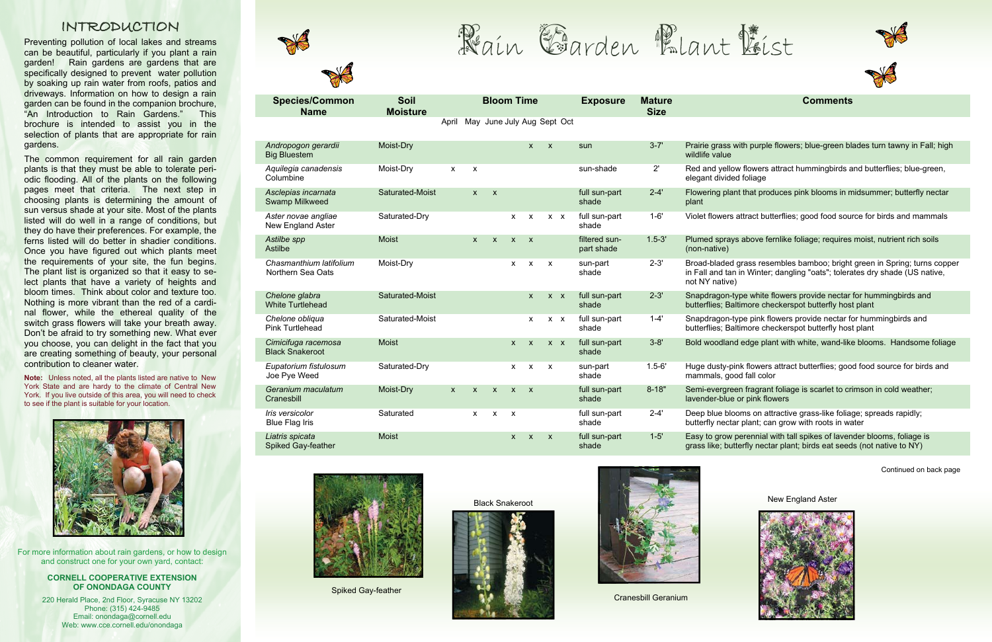

## **Comments**

with purple flowers; blue-green blades turn tawny in Fall; high

low flowers attract hummingbirds and butterflies; blue-green, ded foliage

ant that produces pink blooms in midsummer; butterfly nectar

rs attract butterflies; good food source for birds and mammals

1.5-3 above fernlike foliage; requires moist, nutrient rich soils

d grass resembles bamboo; bright green in Spring; turns copper an in Winter; dangling "oats"; tolerates dry shade (US native, ve)

-type white flowers provide nectar for hummingbirds and altimore checkerspot butterfly host plant

-type pink flowers provide nectar for hummingbirds and Buttimore checkerspot butterfly host plant

nd edge plant with white, wand-like blooms. Handsome foliage

-pink flowers attract butterflies; good food source for birds and ood fall color

een fragrant foliage is scarlet to crimson in cold weather; le or pink flowers

looms on attractive grass-like foliage; spreads rapidly; tar plant; can grow with roots in water

v perennial with tall spikes of lavender blooms, foliage is utterfly nectar plant; birds eat seeds (not native to NY)

| <b>Species/Common</b><br><b>Name</b>          | <b>Soil</b><br><b>Moisture</b> |              |              | <b>Bloom Time</b>          |                           |                           |                           |         | <b>Exposure</b>             | <b>Mature</b><br><b>Size</b> |                                                  |
|-----------------------------------------------|--------------------------------|--------------|--------------|----------------------------|---------------------------|---------------------------|---------------------------|---------|-----------------------------|------------------------------|--------------------------------------------------|
|                                               |                                | April        |              | May June July Aug Sept Oct |                           |                           |                           |         |                             |                              |                                                  |
| Andropogon gerardii<br><b>Big Bluestem</b>    | Moist-Dry                      |              |              |                            |                           | $\mathsf{x}$              | $\mathsf{x}$              |         | sun                         | $3 - 7'$                     | Prairie grass<br>wildlife value                  |
| Aquilegia canadensis<br>Columbine             | Moist-Dry                      | $\pmb{\chi}$ | X            |                            |                           |                           |                           |         | sun-shade                   | 2'                           | Red and yello<br>elegant divide                  |
| Asclepias incarnata<br>Swamp Milkweed         | Saturated-Moist                |              | $\mathsf{x}$ | $\pmb{\mathsf{x}}$         |                           |                           |                           |         | full sun-part<br>shade      | $2 - 4'$                     | Flowering pla<br>plant                           |
| Aster novae angliae<br>New England Aster      | Saturated-Dry                  |              |              |                            | X                         | X                         |                           | $X$ $X$ | full sun-part<br>shade      | $1 - 6'$                     | Violet flowers                                   |
| Astilbe spp<br>Astilbe                        | <b>Moist</b>                   |              | $\mathsf{x}$ | $\boldsymbol{\mathsf{X}}$  | $\mathsf{x}$              | $\mathsf{x}$              |                           |         | filtered sun-<br>part shade | $1.5 - 3'$                   | Plumed spray<br>(non-native)                     |
| Chasmanthium latifolium<br>Northern Sea Oats  | Moist-Dry                      |              |              |                            | X                         | X                         | $\pmb{\times}$            |         | sun-part<br>shade           | $2 - 3'$                     | Broad-bladed<br>in Fall and tar<br>not NY native |
| Chelone glabra<br><b>White Turtlehead</b>     | Saturated-Moist                |              |              |                            |                           | $\mathsf{x}$              | $X$ $X$                   |         | full sun-part<br>shade      | $2 - 3'$                     | Snapdragon-t<br>butterflies; Ba                  |
| Chelone obliqua<br><b>Pink Turtlehead</b>     | Saturated-Moist                |              |              |                            |                           | X                         |                           | $X$ $X$ | full sun-part<br>shade      | $1 - 4'$                     | Snapdragon-<br>butterflies; Ba                   |
| Cimicifuga racemosa<br><b>Black Snakeroot</b> | <b>Moist</b>                   |              |              |                            | $\boldsymbol{\mathsf{X}}$ | $\boldsymbol{\mathsf{X}}$ |                           | $X$ $X$ | full sun-part<br>shade      | $3 - 8'$                     | Bold woodlan                                     |
| Eupatorium fistulosum<br>Joe Pye Weed         | Saturated-Dry                  |              |              |                            | X                         | X                         | $\boldsymbol{\mathsf{x}}$ |         | sun-part<br>shade           | $1.5 - 6'$                   | Huge dusty-p<br>mammals, go                      |
| Geranium maculatum<br>Cranesbill              | Moist-Dry                      | $\mathsf{x}$ | $\mathsf{x}$ | $\mathsf{x}$               | $\mathsf{x}$              | $\mathsf{x}$              |                           |         | full sun-part<br>shade      | $8 - 18"$                    | Semi-evergre<br>lavender-blue                    |
| Iris versicolor<br><b>Blue Flag Iris</b>      | Saturated                      |              | X            | X                          | $\pmb{\mathsf{X}}$        |                           |                           |         | full sun-part<br>shade      | $2 - 4'$                     | Deep blue blo<br>butterfly necta                 |
| Liatris spicata<br>Spiked Gay-feather         | <b>Moist</b>                   |              |              |                            | $\pmb{\mathsf{x}}$        | $\pmb{\times}$            | $\boldsymbol{\mathsf{X}}$ |         | full sun-part<br>shade      | $1 - 5'$                     | Easy to grow<br>grass like; bu                   |



The common requirement for all rain garden plants is that they must be able to tolerate periodic flooding. All of the plants on the following pages meet that criteria. The next step in choosing plants is determining the amount of sun versus shade at your site. Most of the plants listed will do well in a range of conditions, but they do have their preferences. For example, the ferns listed will do better in shadier conditions. Once you have figured out which plants meet the requirements of your site, the fun begins. The plant list is organized so that it easy to select plants that have a variety of heights and bloom times. Think about color and texture too. Nothing is more vibrant than the red of a cardinal flower, while the ethereal quality of the switch grass flowers will take your breath away. Don't be afraid to try something new. What ever you choose, you can delight in the fact that you are creating something of beauty, your personal contribution to cleaner water.

Continued on back page

## INTRODUCTION

Preventing pollution of local lakes and streams can be beautiful, particularly if you plant a rain garden! Rain gardens are gardens that are specifically designed to prevent water pollution by soaking up rain water from roofs, patios and driveways. Information on how to design a rain garden can be found in the companion brochure, "An Introduction to Rain Gardens." This brochure is intended to assist you in the selection of plants that are appropriate for rain gardens.

**Note:** Unless noted, all the plants listed are native to New York State and are hardy to the climate of Central New York. If you live outside of this area, you will need to check to see if the plant is suitable for your location.



Spiked Gay-feather

Black Snakeroot





Cranesbill Geranium







New England Aster



For more information about rain gardens, or how to design and construct one for your own yard, contact:

## **CORNELL COOPERATIVE EXTENSION OF ONONDAGA COUNTY**

220 Herald Place, 2nd Floor, Syracuse NY 13202 Phone: (315) 424-9485 Email: onondaga@cornell.edu Web: www.cce.cornell.edu/onondaga